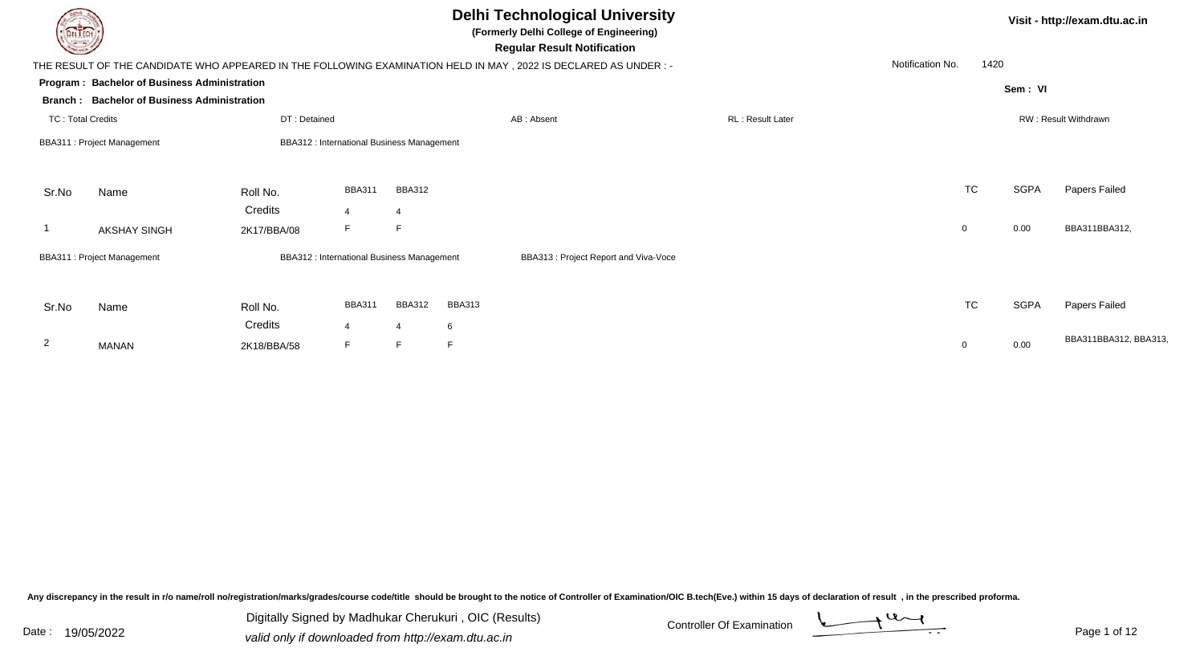| DEL TECH                 |                                                                                                                |              |                                                  |               |               | <b>Delhi Technological University</b><br>(Formerly Delhi College of Engineering)<br><b>Regular Result Notification</b> |                  |                  |             |             | Visit - http://exam.dtu.ac.in |
|--------------------------|----------------------------------------------------------------------------------------------------------------|--------------|--------------------------------------------------|---------------|---------------|------------------------------------------------------------------------------------------------------------------------|------------------|------------------|-------------|-------------|-------------------------------|
|                          | THE RESULT OF THE CANDIDATE WHO APPEARED IN THE FOLLOWING EXAMINATION HELD IN MAY, 2022 IS DECLARED AS UNDER:- |              |                                                  |               |               |                                                                                                                        |                  | Notification No. | 1420        |             |                               |
|                          | Program: Bachelor of Business Administration                                                                   |              |                                                  |               |               |                                                                                                                        |                  |                  |             | Sem: VI     |                               |
|                          | <b>Branch: Bachelor of Business Administration</b>                                                             |              |                                                  |               |               |                                                                                                                        |                  |                  |             |             |                               |
| <b>TC: Total Credits</b> |                                                                                                                | DT: Detained |                                                  |               | AB: Absent    |                                                                                                                        | RL: Result Later |                  |             |             | RW: Result Withdrawn          |
|                          | <b>BBA311: Project Management</b>                                                                              |              | BBA312 : International Business Management       |               |               |                                                                                                                        |                  |                  |             |             |                               |
|                          |                                                                                                                |              |                                                  |               |               |                                                                                                                        |                  |                  |             |             |                               |
| Sr.No                    | Name                                                                                                           | Roll No.     | <b>BBA311</b>                                    | <b>BBA312</b> |               |                                                                                                                        |                  |                  | <b>TC</b>   | <b>SGPA</b> | Papers Failed                 |
|                          |                                                                                                                | Credits      | $\overline{4}$                                   |               |               |                                                                                                                        |                  |                  |             |             |                               |
|                          | <b>AKSHAY SINGH</b>                                                                                            | 2K17/BBA/08  | F                                                | F             |               |                                                                                                                        |                  |                  | $\mathbf 0$ | 0.00        | BBA311BBA312,                 |
|                          | <b>BBA311: Project Management</b>                                                                              |              | <b>BBA312: International Business Management</b> |               |               | BBA313: Project Report and Viva-Voce                                                                                   |                  |                  |             |             |                               |
| Sr.No                    | Name                                                                                                           | Roll No.     | <b>BBA311</b>                                    | <b>BBA312</b> | <b>BBA313</b> |                                                                                                                        |                  |                  | <b>TC</b>   | <b>SGPA</b> | Papers Failed                 |
|                          |                                                                                                                | Credits      | $\overline{4}$                                   |               | 6             |                                                                                                                        |                  |                  |             |             |                               |
| $\overline{2}$           | <b>MANAN</b>                                                                                                   | 2K18/BBA/58  | F                                                |               | F             |                                                                                                                        |                  |                  | 0           | 0.00        | BBA311BBA312, BBA313,         |

Any discrepancy in the result in r/o name/roll no/registration/marks/grades/course code/title should be brought to the notice of Controller of Examination/OIC B.tech(Eve.) within 15 days of declaration of result, in the pr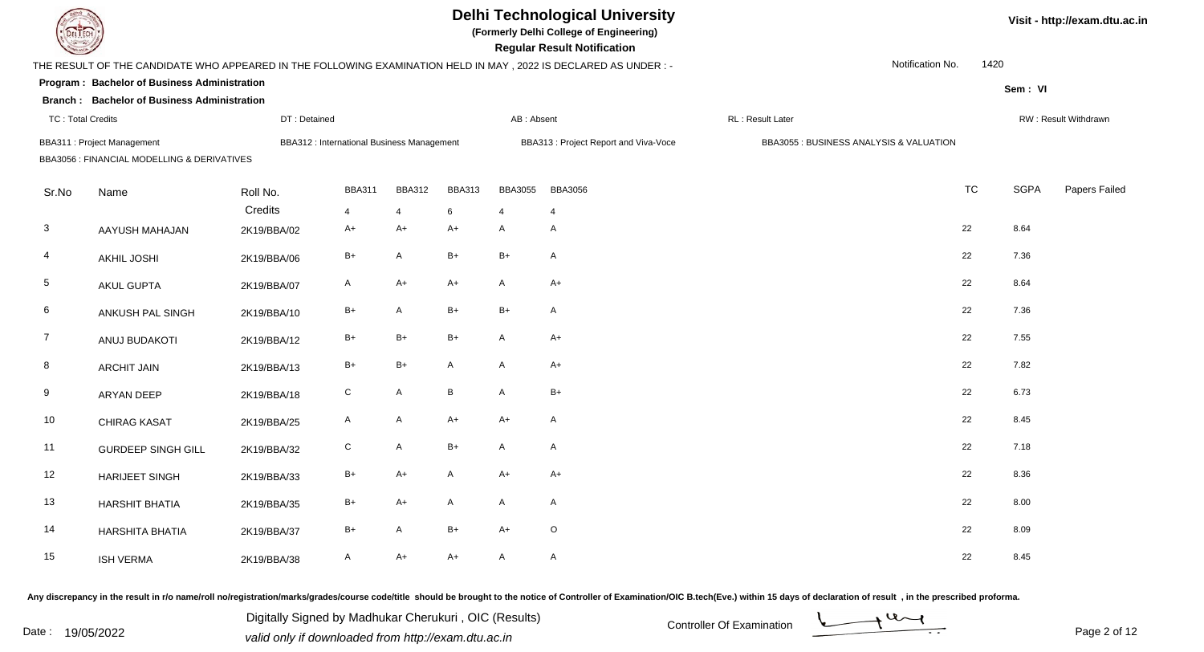

**(Formerly Delhi College of Engineering)**

 **Regular Result Notification**

**Program : Bachelor of Business AdministrationSem : VI Branch : Bachelor of Business Administration**THE RESULT OF THE CANDIDATE WHO APPEARED IN THE FOLLOWING EXAMINATION HELD IN MAY , 2022 IS DECLARED AS UNDER : -TC : Total Credits DT : Detainedd AB : Absent RL : Result Later RW : Result Withdrawn Notification No. 1420Sr.Noo Name Roll No. **Credits** BBA311 : Project ManagementBBA312 : International Business Management BBA313 : Project Report and Viva-Voce BBA3055 : BUSINESS ANALYSIS & VALUATIONBBA3056 : FINANCIAL MODELLING & DERIVATIVESBBA3111 BBA312 BBA313 BBA3055 BBA3056 TC TC SGPA Papers Failed 44 4 6 4 4 3 AAYUSH MAHAJANN 2K19/BBA/02 A+ A+ A+ A+ A A A 4 AKHIL JOSHI 2K19/BBA/066 B+ A B+ B+ A 22 7.36 5 AKUL GUPTAA 2K19/BBA/07 A A+ A+ A A+ A A+ C 22 8.64 6 ANKUSH PAL SINGHH 2K19/BBA/10 B+ A B+ B+ A 22 7.36 7 ANUJ BUDAKOTI 2K19/BBA/12 B+ B+ B+ <sup>A</sup> A+ <sup>22</sup> 7.55 8 ARCHIT JAINN 2K19/BBA/13 B+ B+ A A A+ 22 7.82 9 ARYAN DEEPP 2K19/BBA/18 C A B A B+ 22 6.73 10 CHIRAG KASATT 2K19/BBA/25 A A A+ A+ A A 22 8.45 11 GURDEEP SINGH GILLL 2K19/BBA/32 C A B+ A A 22 7.18 12 HARIJEET SINGHH 2K19/BBA/33 B+ A+ A A+ A+ A+ C+ 22 8.36 13 HARSHIT BHATIAA 2K19/BBA/35 B+ A+ A A A A C 22 8.00 14 HARSHITA BHATIAA 2K19/BBA/37 B+ A B+ A+ O 22 8.09 15 ISH VERMAA 2K19/BBA/38 A A+ A+ A A A C 22 8.45

Any discrepancy in the result in r/o name/roll no/registration/marks/grades/course code/title should be brought to the notice of Controller of Examination/OIC B.tech(Eve.) within 15 days of declaration of result , in the p

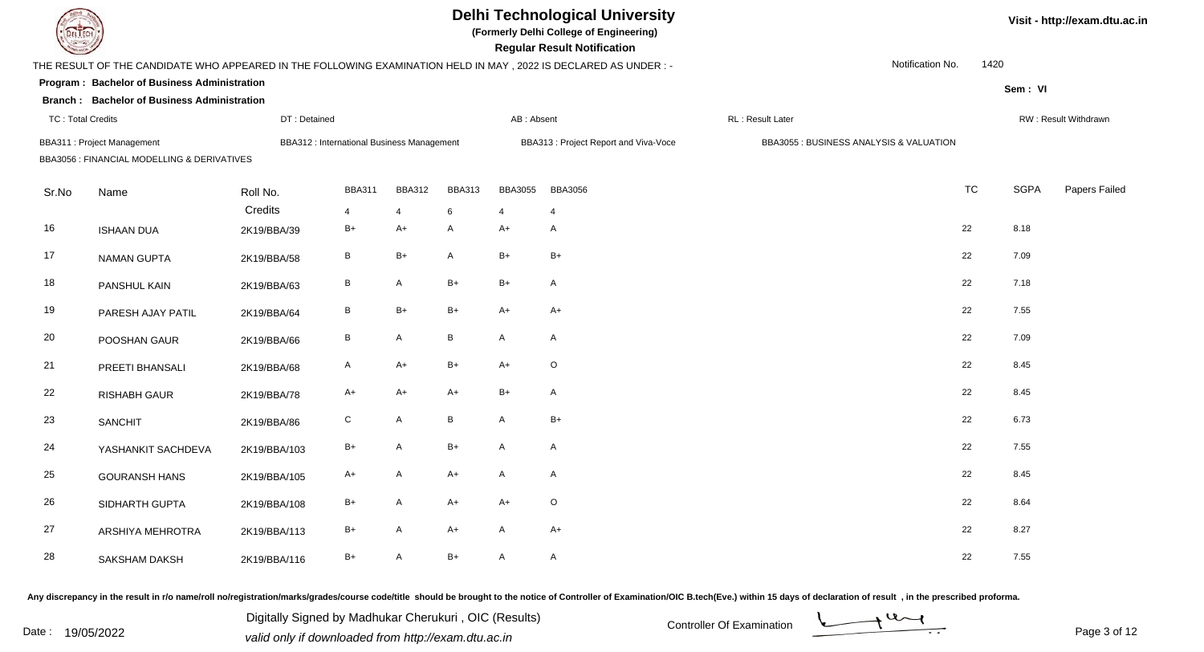

**(Formerly Delhi College of Engineering)**

 **Regular Result Notification**

| <b>Controller Comments</b> |                                                                                                                 |                     |                                            |               |               |                | Regular Result Notification             |                  |                                         |           |             |                      |
|----------------------------|-----------------------------------------------------------------------------------------------------------------|---------------------|--------------------------------------------|---------------|---------------|----------------|-----------------------------------------|------------------|-----------------------------------------|-----------|-------------|----------------------|
|                            | THE RESULT OF THE CANDIDATE WHO APPEARED IN THE FOLLOWING EXAMINATION HELD IN MAY, 2022 IS DECLARED AS UNDER :- |                     |                                            |               |               |                |                                         |                  | Notification No.                        | 1420      |             |                      |
|                            | Program: Bachelor of Business Administration                                                                    |                     |                                            |               |               |                |                                         |                  |                                         |           | Sem: VI     |                      |
|                            | <b>Branch: Bachelor of Business Administration</b>                                                              |                     |                                            |               |               |                |                                         |                  |                                         |           |             |                      |
| <b>TC: Total Credits</b>   |                                                                                                                 | DT: Detained        |                                            |               |               | AB: Absent     |                                         | RL: Result Later |                                         |           |             | RW: Result Withdrawn |
|                            | <b>BBA311: Project Management</b>                                                                               |                     | BBA312 : International Business Management |               |               |                | BBA313: Project Report and Viva-Voce    |                  | BBA3055 : BUSINESS ANALYSIS & VALUATION |           |             |                      |
|                            | BBA3056 : FINANCIAL MODELLING & DERIVATIVES                                                                     |                     |                                            |               |               |                |                                         |                  |                                         |           |             |                      |
|                            |                                                                                                                 |                     | <b>BBA311</b>                              | <b>BBA312</b> | <b>BBA313</b> | <b>BBA3055</b> | <b>BBA3056</b>                          |                  |                                         | <b>TC</b> | <b>SGPA</b> | Papers Failed        |
| Sr.No                      | Name                                                                                                            | Roll No.<br>Credits |                                            |               |               |                |                                         |                  |                                         |           |             |                      |
| 16                         |                                                                                                                 |                     | $\overline{4}$<br>B+                       | 4<br>A+       | 6<br>A        | $A+$           | $\overline{\mathbf{4}}$<br>$\mathsf{A}$ |                  |                                         | 22        | 8.18        |                      |
|                            | <b>ISHAAN DUA</b>                                                                                               | 2K19/BBA/39         |                                            |               |               |                |                                         |                  |                                         |           |             |                      |
| 17                         | NAMAN GUPTA                                                                                                     | 2K19/BBA/58         | B                                          | B+            | A             | $B+$           | $B+$                                    |                  |                                         | 22        | 7.09        |                      |
| 18                         | PANSHUL KAIN                                                                                                    | 2K19/BBA/63         | $\, {\bf B}$                               | A             | $B+$          | $B+$           | $\mathsf{A}$                            |                  |                                         | 22        | 7.18        |                      |
| 19                         | PARESH AJAY PATIL                                                                                               | 2K19/BBA/64         | B                                          | $B+$          | $B+$          | $A+$           | $A+$                                    |                  |                                         | 22        | 7.55        |                      |
| 20                         | POOSHAN GAUR                                                                                                    | 2K19/BBA/66         | $\, {\bf B}$                               | A             | $\, {\bf B}$  | A              | $\mathsf{A}$                            |                  |                                         | 22        | 7.09        |                      |
| 21                         | PREETI BHANSALI                                                                                                 | 2K19/BBA/68         | A                                          | $A+$          | $B+$          | $A+$           | $\mathsf O$                             |                  |                                         | 22        | 8.45        |                      |
| 22                         | <b>RISHABH GAUR</b>                                                                                             | 2K19/BBA/78         | $A+$                                       | $A+$          | $A+$          | $B+$           | $\boldsymbol{\mathsf{A}}$               |                  |                                         | 22        | 8.45        |                      |
| 23                         | SANCHIT                                                                                                         | 2K19/BBA/86         | ${\bf C}$                                  | A             | B             | A              | $B+$                                    |                  |                                         | 22        | 6.73        |                      |
| 24                         | YASHANKIT SACHDEVA                                                                                              | 2K19/BBA/103        | B+                                         | A             | $B+$          | $\mathsf{A}$   | $\mathsf{A}$                            |                  |                                         | 22        | 7.55        |                      |
| 25                         | <b>GOURANSH HANS</b>                                                                                            | 2K19/BBA/105        | $A+$                                       | A             | $A+$          | $\mathsf{A}$   | $\mathsf{A}$                            |                  |                                         | 22        | 8.45        |                      |
| 26                         | SIDHARTH GUPTA                                                                                                  | 2K19/BBA/108        | $B+$                                       | A             | $A+$          | $A+$           | $\mathsf O$                             |                  |                                         | 22        | 8.64        |                      |
| 27                         | ARSHIYA MEHROTRA                                                                                                | 2K19/BBA/113        | B+                                         | A             | $A+$          | $\mathsf{A}$   | $A+$                                    |                  |                                         | 22        | 8.27        |                      |
| 28                         | SAKSHAM DAKSH                                                                                                   | 2K19/BBA/116        | $B+$                                       | A             | $B+$          | A              | $\mathsf{A}$                            |                  |                                         | 22        | 7.55        |                      |

Any discrepancy in the result in r/o name/roll no/registration/marks/grades/course code/title should be brought to the notice of Controller of Examination/OIC B.tech(Eve.) within 15 days of declaration of result, in the pr

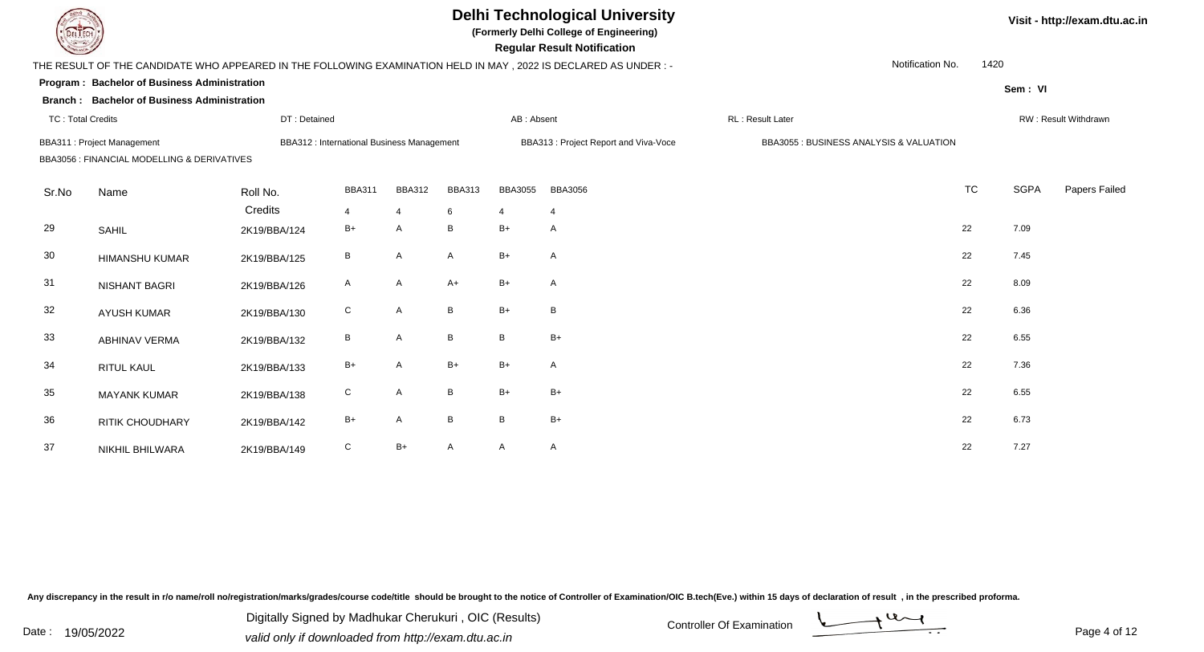

**(Formerly Delhi College of Engineering)**

 **Regular Result Notification**

| <b>Consumer /</b>        |                                                                                                                  |              |                                                  |                |               |                       | <b>Regular Result Notification</b>   |                                         |                  |             |                      |
|--------------------------|------------------------------------------------------------------------------------------------------------------|--------------|--------------------------------------------------|----------------|---------------|-----------------------|--------------------------------------|-----------------------------------------|------------------|-------------|----------------------|
|                          | THE RESULT OF THE CANDIDATE WHO APPEARED IN THE FOLLOWING EXAMINATION HELD IN MAY , 2022 IS DECLARED AS UNDER :- |              |                                                  |                |               |                       |                                      |                                         | Notification No. | 1420        |                      |
|                          | Program: Bachelor of Business Administration                                                                     |              |                                                  |                |               |                       |                                      |                                         |                  | Sem: VI     |                      |
|                          | <b>Branch: Bachelor of Business Administration</b>                                                               |              |                                                  |                |               |                       |                                      |                                         |                  |             |                      |
| <b>TC: Total Credits</b> |                                                                                                                  | DT: Detained |                                                  |                |               | AB: Absent            |                                      | RL: Result Later                        |                  |             | RW: Result Withdrawn |
|                          | <b>BBA311: Project Management</b>                                                                                |              | <b>BBA312: International Business Management</b> |                |               |                       | BBA313: Project Report and Viva-Voce | BBA3055 : BUSINESS ANALYSIS & VALUATION |                  |             |                      |
|                          | BBA3056 : FINANCIAL MODELLING & DERIVATIVES                                                                      |              |                                                  |                |               |                       |                                      |                                         |                  |             |                      |
| Sr.No                    | Name                                                                                                             | Roll No.     | <b>BBA311</b>                                    | <b>BBA312</b>  | <b>BBA313</b> | <b>BBA3055</b>        | <b>BBA3056</b>                       |                                         | <b>TC</b>        | <b>SGPA</b> | Papers Failed        |
|                          |                                                                                                                  | Credits      | 4                                                | $\overline{4}$ | 6             | $\boldsymbol{\Delta}$ | $\overline{4}$                       |                                         |                  |             |                      |
| 29                       | <b>SAHIL</b>                                                                                                     | 2K19/BBA/124 | $B+$                                             | A              | B             | $B+$                  | A                                    |                                         | 22               | 7.09        |                      |
| 30                       | <b>HIMANSHU KUMAR</b>                                                                                            | 2K19/BBA/125 | B                                                | $\mathsf{A}$   | A             | $B+$                  | A                                    |                                         | 22               | 7.45        |                      |
| 31                       | NISHANT BAGRI                                                                                                    | 2K19/BBA/126 | $\mathsf{A}$                                     | A              | $A+$          | $B+$                  | A                                    |                                         | 22               | 8.09        |                      |
| 32                       | <b>AYUSH KUMAR</b>                                                                                               | 2K19/BBA/130 | ${\rm C}$                                        | A              | B             | $B+$                  | $\mathsf B$                          |                                         | 22               | 6.36        |                      |
| 33                       | <b>ABHINAV VERMA</b>                                                                                             | 2K19/BBA/132 | В                                                | A              | B             | B                     | $B+$                                 |                                         | 22               | 6.55        |                      |
| 34                       | RITUL KAUL                                                                                                       | 2K19/BBA/133 | $B+$                                             | A              | $B+$          | B+                    | A                                    |                                         | 22               | 7.36        |                      |
| 35                       | <b>MAYANK KUMAR</b>                                                                                              | 2K19/BBA/138 | $\mathsf{C}$                                     | A              | B             | B+                    | B+                                   |                                         | 22               | 6.55        |                      |
| 36                       | <b>RITIK CHOUDHARY</b>                                                                                           | 2K19/BBA/142 | $B+$                                             | A              | B             | B                     | $B+$                                 |                                         | 22               | 6.73        |                      |
| 37                       | NIKHIL BHILWARA                                                                                                  | 2K19/BBA/149 | C                                                | B+             | A             | A                     | A                                    |                                         | 22               | 7.27        |                      |

Any discrepancy in the result in r/o name/roll no/registration/marks/grades/course code/title should be brought to the notice of Controller of Examination/OIC B.tech(Eve.) within 15 days of declaration of result, in the pr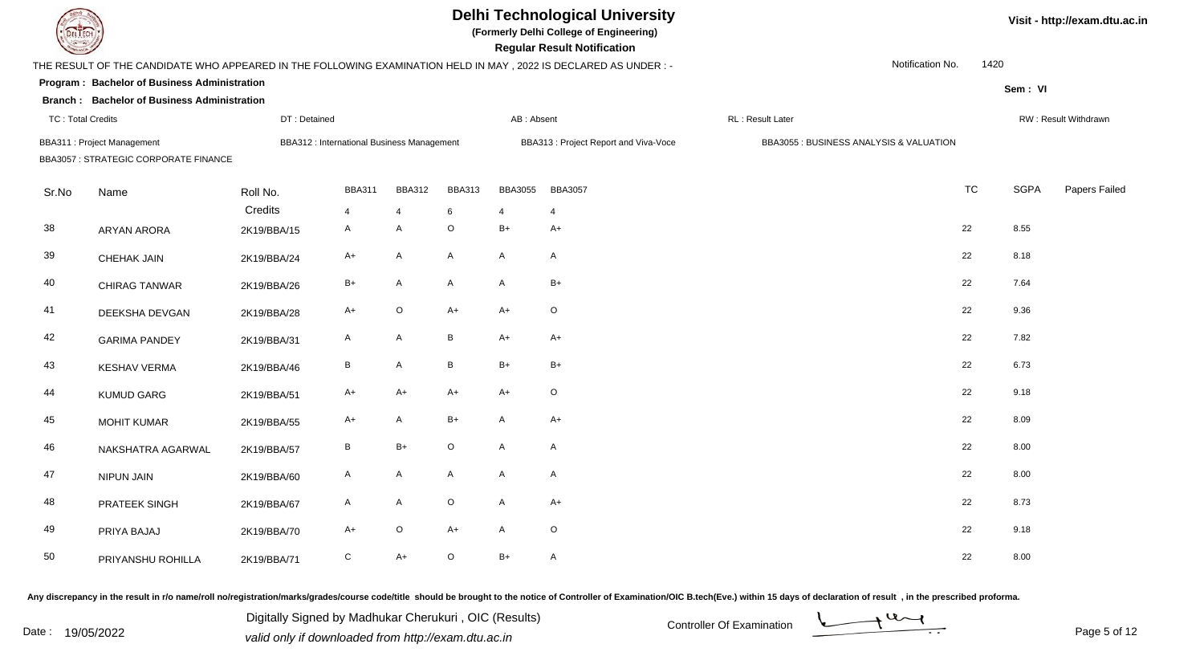

**(Formerly Delhi College of Engineering)**

 **Regular Result Notification**

| <b>Contract of the Contract of the Contract of The Contract of The Contract of The Contract of The Contract of The Contract of The Contract of The Contract of The Contract of The Contract of The Contract of The Contract of T</b> |                                                                                                                |                     |                                            |                    |                    |                     | Regular Result Notification          |                                         |                  |           |             |                      |
|--------------------------------------------------------------------------------------------------------------------------------------------------------------------------------------------------------------------------------------|----------------------------------------------------------------------------------------------------------------|---------------------|--------------------------------------------|--------------------|--------------------|---------------------|--------------------------------------|-----------------------------------------|------------------|-----------|-------------|----------------------|
|                                                                                                                                                                                                                                      | THE RESULT OF THE CANDIDATE WHO APPEARED IN THE FOLLOWING EXAMINATION HELD IN MAY, 2022 IS DECLARED AS UNDER:- |                     |                                            |                    |                    |                     |                                      |                                         | Notification No. | 1420      |             |                      |
|                                                                                                                                                                                                                                      | Program: Bachelor of Business Administration                                                                   |                     |                                            |                    |                    |                     |                                      |                                         |                  |           | Sem: VI     |                      |
|                                                                                                                                                                                                                                      | <b>Branch: Bachelor of Business Administration</b>                                                             |                     |                                            |                    |                    |                     |                                      |                                         |                  |           |             |                      |
| <b>TC: Total Credits</b>                                                                                                                                                                                                             |                                                                                                                | DT: Detained        |                                            |                    |                    | AB: Absent          |                                      | RL: Result Later                        |                  |           |             | RW: Result Withdrawn |
|                                                                                                                                                                                                                                      | BBA311 : Project Management<br>BBA3057 : STRATEGIC CORPORATE FINANCE                                           |                     | BBA312 : International Business Management |                    |                    |                     | BBA313: Project Report and Viva-Voce | BBA3055 : BUSINESS ANALYSIS & VALUATION |                  |           |             |                      |
| Sr.No                                                                                                                                                                                                                                | Name                                                                                                           | Roll No.<br>Credits | <b>BBA311</b><br>$\overline{4}$            | <b>BBA312</b><br>4 | <b>BBA313</b><br>6 | <b>BBA3055</b><br>4 | <b>BBA3057</b><br>$\overline{4}$     |                                         |                  | <b>TC</b> | <b>SGPA</b> | Papers Failed        |
| 38                                                                                                                                                                                                                                   | <b>ARYAN ARORA</b>                                                                                             | 2K19/BBA/15         | A                                          | A                  | $\mathsf O$        | $B+$                | $A+$                                 |                                         |                  | 22        | 8.55        |                      |
| 39                                                                                                                                                                                                                                   | CHEHAK JAIN                                                                                                    | 2K19/BBA/24         | A+                                         | A                  | $\mathsf{A}$       | A                   | A                                    |                                         |                  | 22        | 8.18        |                      |
| 40                                                                                                                                                                                                                                   | <b>CHIRAG TANWAR</b>                                                                                           | 2K19/BBA/26         | $B+$                                       | A                  | A                  | A                   | $B+$                                 |                                         |                  | 22        | 7.64        |                      |
| 41                                                                                                                                                                                                                                   | DEEKSHA DEVGAN                                                                                                 | 2K19/BBA/28         | $A+$                                       | O                  | $A+$               | $A+$                | $\circ$                              |                                         |                  | 22        | 9.36        |                      |
| 42                                                                                                                                                                                                                                   | <b>GARIMA PANDEY</b>                                                                                           | 2K19/BBA/31         | $\mathsf{A}$                               | Α                  | $\, {\bf B} \,$    | $A+$                | $A+$                                 |                                         |                  | 22        | 7.82        |                      |
| 43                                                                                                                                                                                                                                   | <b>KESHAV VERMA</b>                                                                                            | 2K19/BBA/46         | B                                          | Α                  | $\, {\bf B} \,$    | $B+$                | $B+$                                 |                                         |                  | 22        | 6.73        |                      |
| 44                                                                                                                                                                                                                                   | <b>KUMUD GARG</b>                                                                                              | 2K19/BBA/51         | A+                                         | A+                 | $A+$               | $A+$                | $\mathsf O$                          |                                         |                  | 22        | 9.18        |                      |
| 45                                                                                                                                                                                                                                   | <b>MOHIT KUMAR</b>                                                                                             | 2K19/BBA/55         | $A+$                                       | A                  | $B+$               | A                   | $A+$                                 |                                         |                  | 22        | 8.09        |                      |
| 46                                                                                                                                                                                                                                   | NAKSHATRA AGARWAL                                                                                              | 2K19/BBA/57         | B                                          | $B+$               | $\mathsf O$        | A                   | A                                    |                                         |                  | 22        | 8.00        |                      |
| 47                                                                                                                                                                                                                                   | NIPUN JAIN                                                                                                     | 2K19/BBA/60         | A                                          | A                  | $\mathsf{A}$       | A                   | A                                    |                                         |                  | 22        | 8.00        |                      |
| 48                                                                                                                                                                                                                                   | PRATEEK SINGH                                                                                                  | 2K19/BBA/67         | A                                          | A                  | $\mathsf O$        | A                   | $A+$                                 |                                         |                  | 22        | 8.73        |                      |
| 49                                                                                                                                                                                                                                   | PRIYA BAJAJ                                                                                                    | 2K19/BBA/70         | $A+$                                       | O                  | $A+$               | A                   | $\circ$                              |                                         |                  | 22        | 9.18        |                      |
| 50                                                                                                                                                                                                                                   | PRIYANSHU ROHILLA                                                                                              | 2K19/BBA/71         | $\mathbf C$                                | $A+$               | $\circ$            | B+                  | A                                    |                                         |                  | 22        | 8.00        |                      |

Any discrepancy in the result in r/o name/roll no/registration/marks/grades/course code/title should be brought to the notice of Controller of Examination/OIC B.tech(Eve.) within 15 days of declaration of result, in the pr

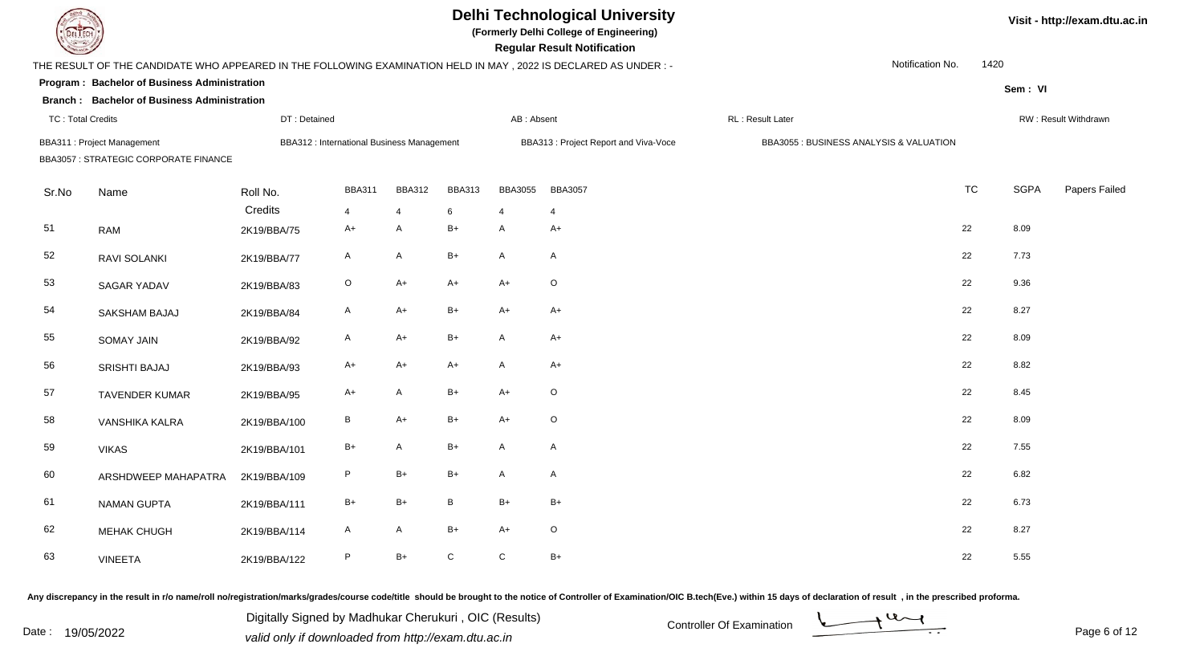

**(Formerly Delhi College of Engineering)**

 **Regular Result Notification**

**Program : Bachelor of Business AdministrationSem : VI Branch : Bachelor of Business Administration**THE RESULT OF THE CANDIDATE WHO APPEARED IN THE FOLLOWING EXAMINATION HELD IN MAY , 2022 IS DECLARED AS UNDER : -TC : Total Credits DT : Detainedd AB : Absent RL : Result Later RW : Result Withdrawn Notification No. 1420Sr.Noo Name Roll No. **Credits** BBA311 : Project ManagementBBA312 : International Business Management BBA313 : Project Report and Viva-Voce BBA3055 : BUSINESS ANALYSIS & VALUATIONBBA3057 : STRATEGIC CORPORATE FINANCEBBA3111 BBA312 BBA313 BBA3055 BBA3057 Services of the state of the state of the state of the state of the state of the state of the state of the state of the state of the state of the state of the state of the state of the state TC SGPA Papers Failed 44 4 6 4 4 51 RAMM 2K19/BBA/75 A+ A B+ A A+ 22 8.09 52RAVI SOLANKI 2K19/BBA/77 <sup>A</sup> <sup>A</sup> B+ <sup>A</sup> <sup>A</sup> <sup>22</sup> 7.73 53 SAGAR YADAVV 2K19/BBA/83 O A+ A+ A+ O 22 9.36 54 SAKSHAM BAJAJ 2K19/BBA/844 A A+ B+ A+ A+ 55 SOMAY JAINN 2K19/BBA/92 A A+ B+ A A+ A+ 22 8.09 56 SRISHTI BAJAJ 2K19/BBA/93 A+ A+ A+ <sup>A</sup> A+ <sup>22</sup> 8.82 57 TAVENDER KUMARR 2K19/BBA/95 A+ A B+ A+ O 58 VANSHIKA KALRAA 2K19/BBA/100 B A+ B+ A+ O 22 8.09 59 VIKASS 22 7.55 60 ARSHDWEEP MAHAPATRAA 2K19/BBA/109 P B+ B+ A A A 2X19/BBA/109 P B+ B+ A A 61 NAMAN GUPTAA 2K19/BBA/111 B+ B+ B B+ B+ B+ B+ C 22 6.73 62 MEHAK CHUGHH 2K19/BBA/114 A A B+ A+ O 22 8.27 63 VINEETAA 2K19/BBA/122 P B+ C C B+ 22 5.55

Any discrepancy in the result in r/o name/roll no/registration/marks/grades/course code/title should be brought to the notice of Controller of Examination/OIC B.tech(Eve.) within 15 days of declaration of result , in the p

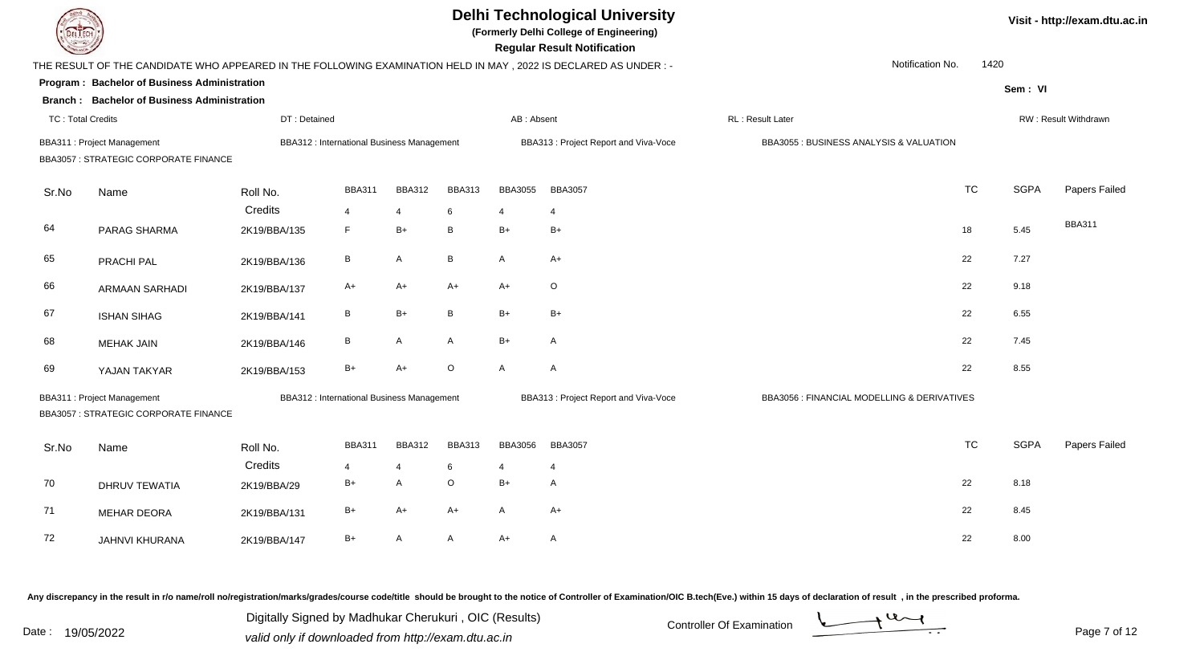

**(Formerly Delhi College of Engineering)**

 **Regular Result Notification**

| <b>Course Les</b>        |                                                                                                                 |                                                  |                       |                         |                 |                | Regular Result Notification          |                                             |                  |           |             |                      |
|--------------------------|-----------------------------------------------------------------------------------------------------------------|--------------------------------------------------|-----------------------|-------------------------|-----------------|----------------|--------------------------------------|---------------------------------------------|------------------|-----------|-------------|----------------------|
|                          | THE RESULT OF THE CANDIDATE WHO APPEARED IN THE FOLLOWING EXAMINATION HELD IN MAY, 2022 IS DECLARED AS UNDER :- |                                                  |                       |                         |                 |                |                                      |                                             | Notification No. | 1420      |             |                      |
|                          | Program: Bachelor of Business Administration                                                                    |                                                  |                       |                         |                 |                |                                      |                                             |                  |           | Sem: VI     |                      |
|                          | <b>Branch: Bachelor of Business Administration</b>                                                              |                                                  |                       |                         |                 |                |                                      |                                             |                  |           |             |                      |
| <b>TC: Total Credits</b> |                                                                                                                 | DT: Detained                                     |                       |                         |                 | AB: Absent     |                                      | <b>RL: Result Later</b>                     |                  |           |             | RW: Result Withdrawn |
|                          | <b>BBA311: Project Management</b>                                                                               | <b>BBA312: International Business Management</b> |                       |                         |                 |                | BBA313: Project Report and Viva-Voce | BBA3055 : BUSINESS ANALYSIS & VALUATION     |                  |           |             |                      |
|                          | <b>BBA3057 : STRATEGIC CORPORATE FINANCE</b>                                                                    |                                                  |                       |                         |                 |                |                                      |                                             |                  |           |             |                      |
| Sr.No                    | Name                                                                                                            | Roll No.                                         | <b>BBA311</b>         | <b>BBA312</b>           | <b>BBA313</b>   | <b>BBA3055</b> | <b>BBA3057</b>                       |                                             |                  | <b>TC</b> | <b>SGPA</b> | Papers Failed        |
|                          |                                                                                                                 | Credits                                          | $\overline{4}$        | $\overline{4}$          | 6               | 4              | $\overline{4}$                       |                                             |                  |           |             |                      |
| 64                       | PARAG SHARMA                                                                                                    | 2K19/BBA/135                                     | F                     | B+                      | В               | $B+$           | $B+$                                 |                                             |                  | 18        | 5.45        | <b>BBA311</b>        |
| 65                       | PRACHI PAL                                                                                                      | 2K19/BBA/136                                     | B                     | $\mathsf{A}$            | B               | $\mathsf{A}$   | $A+$                                 |                                             |                  | 22        | 7.27        |                      |
| 66                       | <b>ARMAAN SARHADI</b>                                                                                           | 2K19/BBA/137                                     | $A+$                  | $A+$                    | $A+$            | $A+$           | $\circ$                              |                                             |                  | 22        | 9.18        |                      |
| 67                       | <b>ISHAN SIHAG</b>                                                                                              | 2K19/BBA/141                                     | В                     | B+                      | $\, {\bf B} \,$ | $B+$           | $B+$                                 |                                             |                  | 22        | 6.55        |                      |
| 68                       | <b>MEHAK JAIN</b>                                                                                               | 2K19/BBA/146                                     | B                     | $\mathsf{A}$            | $\mathsf{A}$    | $B+$           | $\mathsf{A}$                         |                                             |                  | 22        | 7.45        |                      |
| 69                       | YAJAN TAKYAR                                                                                                    | 2K19/BBA/153                                     | B+                    | $A+$                    | $\circ$         | $\mathsf{A}$   | $\mathsf{A}$                         |                                             |                  | 22        | 8.55        |                      |
|                          | <b>BBA311: Project Management</b><br><b>BBA3057 : STRATEGIC CORPORATE FINANCE</b>                               | <b>BBA312: International Business Management</b> |                       |                         |                 |                | BBA313: Project Report and Viva-Voce | BBA3056 : FINANCIAL MODELLING & DERIVATIVES |                  |           |             |                      |
| Sr.No                    | Name                                                                                                            | Roll No.                                         | <b>BBA311</b>         | <b>BBA312</b>           | <b>BBA313</b>   | <b>BBA3056</b> | <b>BBA3057</b>                       |                                             |                  | <b>TC</b> | <b>SGPA</b> | Papers Failed        |
|                          |                                                                                                                 | Credits                                          | $\boldsymbol{\Delta}$ | $\overline{4}$          | 6               | Δ              | $\overline{4}$                       |                                             |                  |           |             |                      |
| 70                       | <b>DHRUV TEWATIA</b>                                                                                            | 2K19/BBA/29                                      | $B+$                  | $\overline{\mathsf{A}}$ | $\circ$         | $B+$           | $\overline{A}$                       |                                             |                  | 22        | 8.18        |                      |
| 71                       | MEHAR DEORA                                                                                                     | 2K19/BBA/131                                     | B+                    | $A+$                    | $A+$            | $\overline{A}$ | $A+$                                 |                                             |                  | 22        | 8.45        |                      |
| 72                       | <b>JAHNVI KHURANA</b>                                                                                           | 2K19/BBA/147                                     | B+                    | Α                       | $\mathsf{A}$    | A+             | $\mathsf{A}$                         |                                             |                  | 22        | 8.00        |                      |

Any discrepancy in the result in r/o name/roll no/registration/marks/grades/course code/title should be brought to the notice of Controller of Examination/OIC B.tech(Eve.) within 15 days of declaration of result, in the pr

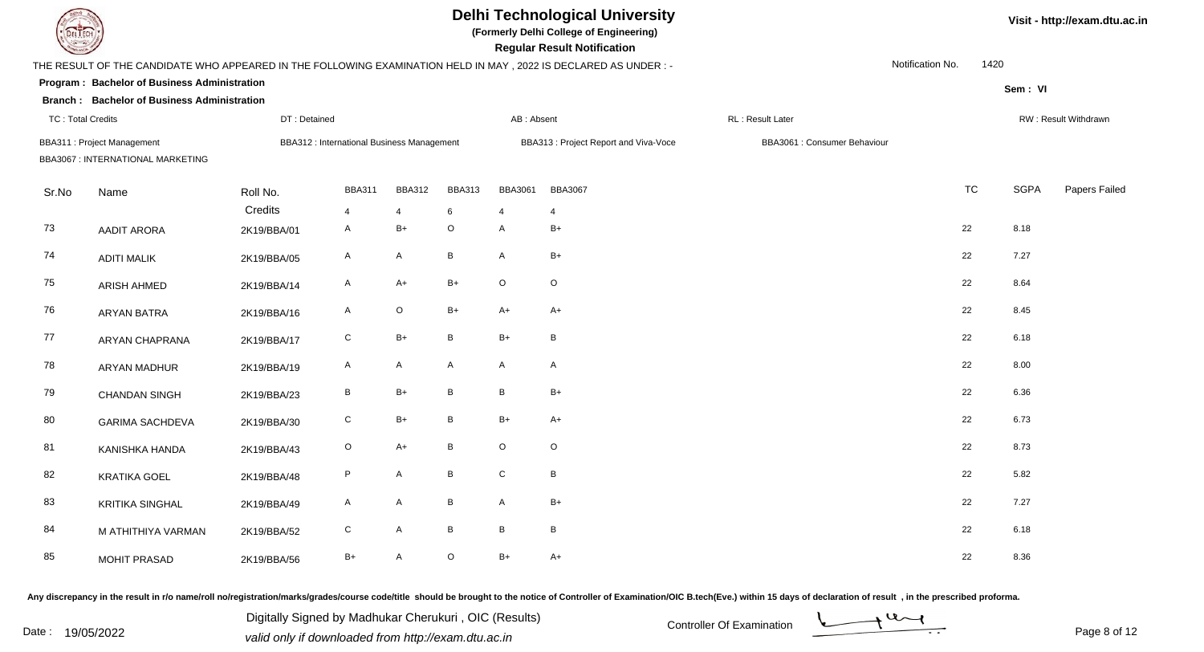

**(Formerly Delhi College of Engineering)**

 **Regular Result Notification**

| $\sim$                   |                                                                                                                 |                                            |               |               |                 |                | <b>Example of the County of the County of the County of the County of the County of the County of the County of T</b> |                              |                  |           |             |                      |
|--------------------------|-----------------------------------------------------------------------------------------------------------------|--------------------------------------------|---------------|---------------|-----------------|----------------|-----------------------------------------------------------------------------------------------------------------------|------------------------------|------------------|-----------|-------------|----------------------|
|                          | THE RESULT OF THE CANDIDATE WHO APPEARED IN THE FOLLOWING EXAMINATION HELD IN MAY, 2022 IS DECLARED AS UNDER :- |                                            |               |               |                 |                |                                                                                                                       |                              | Notification No. | 1420      |             |                      |
|                          | Program: Bachelor of Business Administration                                                                    |                                            |               |               |                 |                |                                                                                                                       |                              |                  |           | Sem: VI     |                      |
|                          | <b>Branch: Bachelor of Business Administration</b>                                                              |                                            |               |               |                 |                |                                                                                                                       |                              |                  |           |             |                      |
| <b>TC: Total Credits</b> |                                                                                                                 | DT: Detained                               |               |               |                 | AB: Absent     |                                                                                                                       | RL: Result Later             |                  |           |             | RW: Result Withdrawn |
|                          | <b>BBA311: Project Management</b>                                                                               | BBA312 : International Business Management |               |               |                 |                | BBA313: Project Report and Viva-Voce                                                                                  | BBA3061 : Consumer Behaviour |                  |           |             |                      |
|                          | BBA3067 : INTERNATIONAL MARKETING                                                                               |                                            |               |               |                 |                |                                                                                                                       |                              |                  |           |             |                      |
| Sr.No                    | Name                                                                                                            | Roll No.                                   | <b>BBA311</b> | <b>BBA312</b> | <b>BBA313</b>   | <b>BBA3061</b> | <b>BBA3067</b>                                                                                                        |                              |                  | <b>TC</b> | <b>SGPA</b> | Papers Failed        |
|                          |                                                                                                                 | Credits                                    | 4             | 4             | 6               | 4              | $\overline{4}$                                                                                                        |                              |                  |           |             |                      |
| 73                       | <b>AADIT ARORA</b>                                                                                              | 2K19/BBA/01                                | A             | $B+$          | $\mathsf O$     | $\mathsf{A}$   | $B+$                                                                                                                  |                              |                  | 22        | 8.18        |                      |
| 74                       | <b>ADITI MALIK</b>                                                                                              | 2K19/BBA/05                                | A             | A             | $\, {\bf B}$    | A              | $B+$                                                                                                                  |                              |                  | 22        | 7.27        |                      |
| 75                       | ARISH AHMED                                                                                                     | 2K19/BBA/14                                | A             | $A+$          | $B+$            | $\circ$        | $\mathsf O$                                                                                                           |                              |                  | 22        | 8.64        |                      |
| 76                       | ARYAN BATRA                                                                                                     | 2K19/BBA/16                                | A             | $\mathsf O$   | $B+$            | $A+$           | $A+$                                                                                                                  |                              |                  | 22        | 8.45        |                      |
| 77                       | ARYAN CHAPRANA                                                                                                  | 2K19/BBA/17                                | ${\bf C}$     | $B+$          | $\, {\bf B}$    | $B+$           | B                                                                                                                     |                              |                  | 22        | 6.18        |                      |
| 78                       | <b>ARYAN MADHUR</b>                                                                                             | 2K19/BBA/19                                | A             | A             | A               | A              | $\mathsf{A}$                                                                                                          |                              |                  | 22        | 8.00        |                      |
| 79                       | <b>CHANDAN SINGH</b>                                                                                            | 2K19/BBA/23                                | $\, {\bf B}$  | $B+$          | $\, {\bf B}$    | B              | $B+$                                                                                                                  |                              |                  | 22        | 6.36        |                      |
| 80                       | <b>GARIMA SACHDEVA</b>                                                                                          | 2K19/BBA/30                                | ${\bf C}$     | B+            | B               | $B+$           | $A+$                                                                                                                  |                              |                  | 22        | 6.73        |                      |
| 81                       | KANISHKA HANDA                                                                                                  | 2K19/BBA/43                                | $\circ$       | $A+$          | $\, {\bf B}$    | $\circ$        | $\circ$                                                                                                               |                              |                  | 22        | 8.73        |                      |
| 82                       | <b>KRATIKA GOEL</b>                                                                                             | 2K19/BBA/48                                | P             | A             | $\, {\bf B} \,$ | C              | B                                                                                                                     |                              |                  | 22        | 5.82        |                      |
| 83                       | <b>KRITIKA SINGHAL</b>                                                                                          | 2K19/BBA/49                                | A             | A             | $\, {\bf B}$    | $\mathsf{A}$   | $B+$                                                                                                                  |                              |                  | 22        | 7.27        |                      |
| 84                       | M ATHITHIYA VARMAN                                                                                              | 2K19/BBA/52                                | ${\bf C}$     | A             | $\, {\bf B} \,$ | B              | $\, {\bf B}$                                                                                                          |                              |                  | 22        | 6.18        |                      |
| 85                       | <b>MOHIT PRASAD</b>                                                                                             | 2K19/BBA/56                                | $B+$          | A             | $\circ$         | $B+$           | $A+$                                                                                                                  |                              |                  | 22        | 8.36        |                      |

Any discrepancy in the result in r/o name/roll no/registration/marks/grades/course code/title should be brought to the notice of Controller of Examination/OIC B.tech(Eve.) within 15 days of declaration of result, in the pr

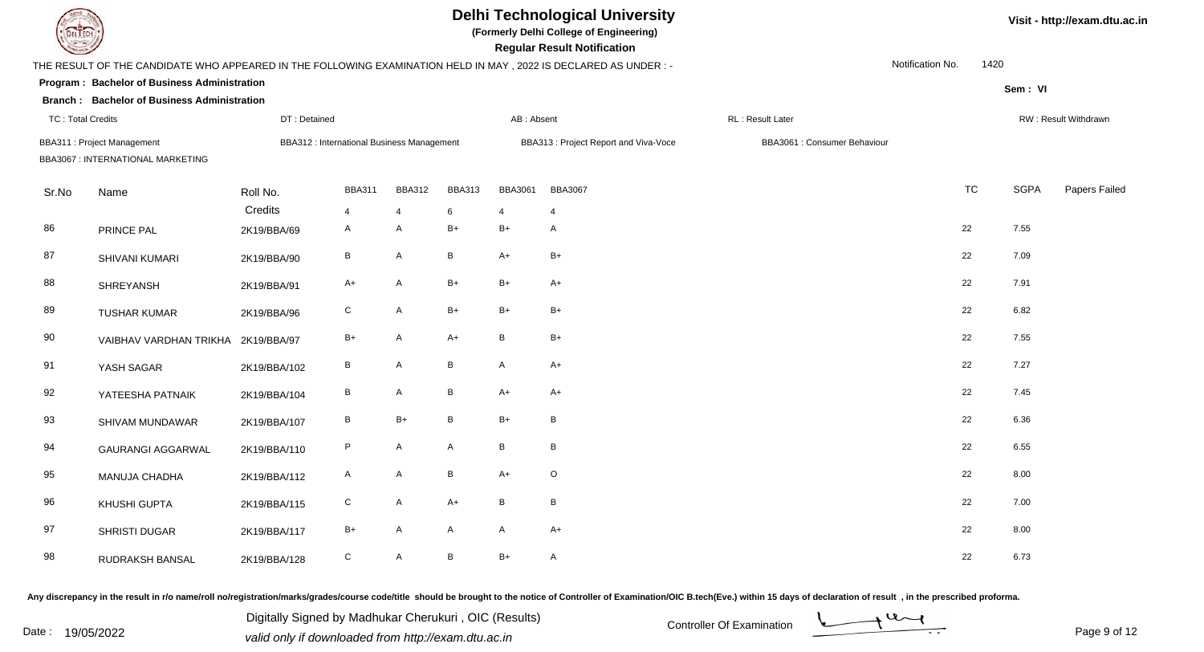

**(Formerly Delhi College of Engineering)**

 **Regular Result Notification**

| $\sim$                   |                                                                                                                  |                                            |                                 |                    |                    |                     | <b>Regular Result Rothloution</b>    |                              |                  |           |             |                      |
|--------------------------|------------------------------------------------------------------------------------------------------------------|--------------------------------------------|---------------------------------|--------------------|--------------------|---------------------|--------------------------------------|------------------------------|------------------|-----------|-------------|----------------------|
|                          | THE RESULT OF THE CANDIDATE WHO APPEARED IN THE FOLLOWING EXAMINATION HELD IN MAY , 2022 IS DECLARED AS UNDER :- |                                            |                                 |                    |                    |                     |                                      |                              | Notification No. | 1420      |             |                      |
|                          | Program: Bachelor of Business Administration                                                                     |                                            |                                 |                    |                    |                     |                                      |                              |                  |           | Sem: VI     |                      |
|                          | <b>Branch: Bachelor of Business Administration</b>                                                               |                                            |                                 |                    |                    |                     |                                      |                              |                  |           |             |                      |
| <b>TC: Total Credits</b> |                                                                                                                  | DT: Detained                               |                                 |                    |                    | AB: Absent          |                                      | RL: Result Later             |                  |           |             | RW: Result Withdrawn |
|                          | BBA311 : Project Management<br>BBA3067 : INTERNATIONAL MARKETING                                                 | BBA312 : International Business Management |                                 |                    |                    |                     | BBA313: Project Report and Viva-Voce | BBA3061 : Consumer Behaviour |                  |           |             |                      |
| Sr.No                    | Name                                                                                                             | Roll No.<br>Credits                        | <b>BBA311</b><br>$\overline{4}$ | <b>BBA312</b><br>4 | <b>BBA313</b><br>6 | <b>BBA3061</b><br>4 | <b>BBA3067</b><br>4                  |                              |                  | <b>TC</b> | <b>SGPA</b> | Papers Failed        |
| 86                       | PRINCE PAL                                                                                                       | 2K19/BBA/69                                | A                               | A                  | $B+$               | $B+$                | $\mathsf{A}$                         |                              | 22               |           | 7.55        |                      |
| 87                       | SHIVANI KUMARI                                                                                                   | 2K19/BBA/90                                | $\, {\bf B} \,$                 | A                  | $\, {\bf B} \,$    | $A+$                | $B+$                                 |                              | 22               |           | 7.09        |                      |
| 88                       | SHREYANSH                                                                                                        | 2K19/BBA/91                                | $A+$                            | A                  | $B+$               | $B+$                | $A+$                                 |                              | 22               |           | 7.91        |                      |
| 89                       | <b>TUSHAR KUMAR</b>                                                                                              | 2K19/BBA/96                                | ${\bf C}$                       | A                  | $B+$               | $B+$                | $B+$                                 |                              | 22               |           | 6.82        |                      |
| 90                       | VAIBHAV VARDHAN TRIKHA 2K19/BBA/97                                                                               |                                            | $B+$                            | A                  | $A+$               | B                   | $B+$                                 |                              | 22               |           | 7.55        |                      |
| 91                       | YASH SAGAR                                                                                                       | 2K19/BBA/102                               | $\, {\bf B}$                    | A                  | $\, {\bf B}$       | $\mathsf{A}$        | $A+$                                 |                              | 22               |           | 7.27        |                      |
| 92                       | YATEESHA PATNAIK                                                                                                 | 2K19/BBA/104                               | $\, {\bf B} \,$                 | A                  | $\, {\bf B}$       | $A+$                | $A+$                                 |                              | 22               |           | 7.45        |                      |
| 93                       | SHIVAM MUNDAWAR                                                                                                  | 2K19/BBA/107                               | $\, {\bf B} \,$                 | $B+$               | B                  | $B+$                | B                                    |                              | 22               |           | 6.36        |                      |
| 94                       | <b>GAURANGI AGGARWAL</b>                                                                                         | 2K19/BBA/110                               | P                               | A                  | A                  | B                   | B                                    |                              | 22               |           | 6.55        |                      |
| 95                       | MANUJA CHADHA                                                                                                    | 2K19/BBA/112                               | A                               | A                  | $\, {\bf B}$       | $A+$                | $\circ$                              |                              | 22               |           | 8.00        |                      |
| 96                       | KHUSHI GUPTA                                                                                                     | 2K19/BBA/115                               | ${\bf C}$                       | A                  | $A+$               | B                   | B                                    |                              | 22               |           | 7.00        |                      |
| 97                       | SHRISTI DUGAR                                                                                                    | 2K19/BBA/117                               | $B+$                            | A                  | $\mathsf{A}$       | A                   | $A+$                                 |                              | 22               |           | 8.00        |                      |
| 98                       | RUDRAKSH BANSAL                                                                                                  | 2K19/BBA/128                               | ${\bf C}$                       | A                  | $\, {\bf B}$       | $B+$                | $\mathsf{A}$                         |                              | 22               |           | 6.73        |                      |

Any discrepancy in the result in r/o name/roll no/registration/marks/grades/course code/title should be brought to the notice of Controller of Examination/OIC B.tech(Eve.) within 15 days of declaration of result, in the pr

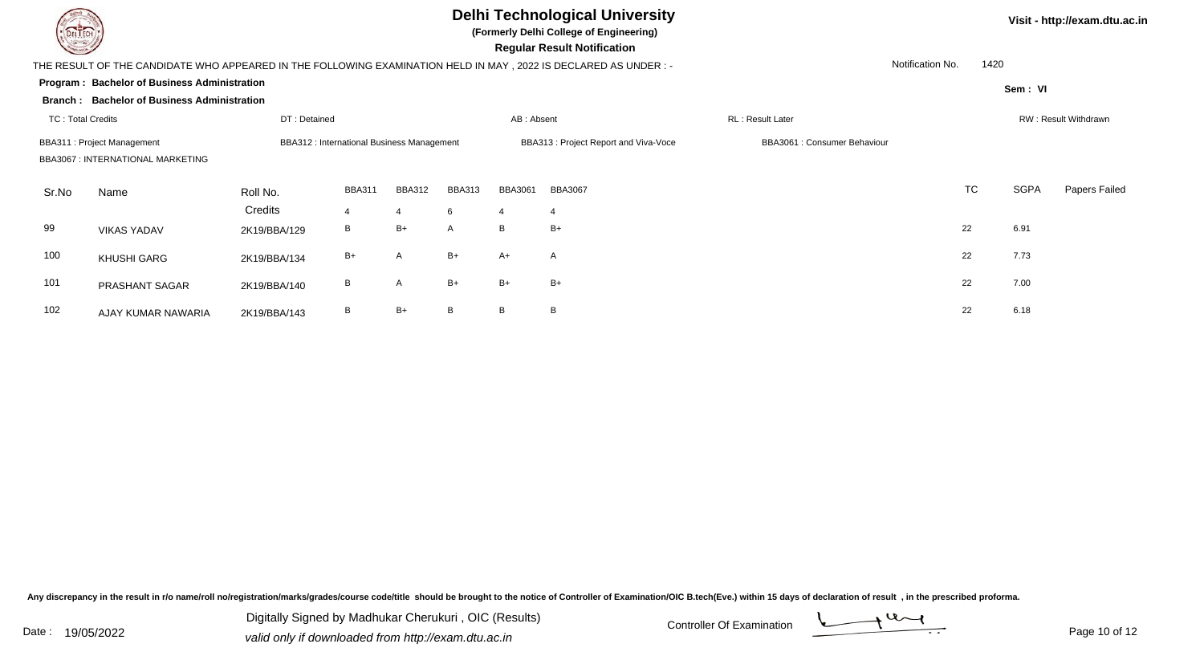

**(Formerly Delhi College of Engineering)**

 **Regular Result Notification**

| $\tilde{}$               |                                                                                                                 |                                            |                |                |               |                | Regard Room, Regnieanon              |                              |                      |  |         |               |
|--------------------------|-----------------------------------------------------------------------------------------------------------------|--------------------------------------------|----------------|----------------|---------------|----------------|--------------------------------------|------------------------------|----------------------|--|---------|---------------|
|                          | THE RESULT OF THE CANDIDATE WHO APPEARED IN THE FOLLOWING EXAMINATION HELD IN MAY, 2022 IS DECLARED AS UNDER :- | Notification No.                           | 1420           |                |               |                |                                      |                              |                      |  |         |               |
|                          | Program: Bachelor of Business Administration                                                                    |                                            |                |                |               |                |                                      |                              |                      |  | Sem: VI |               |
|                          | <b>Branch: Bachelor of Business Administration</b>                                                              |                                            |                |                |               |                |                                      |                              |                      |  |         |               |
| <b>TC: Total Credits</b> |                                                                                                                 | DT: Detained                               |                |                |               | AB: Absent     |                                      | RL: Result Later             | RW: Result Withdrawn |  |         |               |
|                          | <b>BBA311: Project Management</b>                                                                               | BBA312 : International Business Management |                |                |               |                | BBA313: Project Report and Viva-Voce | BBA3061 : Consumer Behaviour |                      |  |         |               |
|                          | BBA3067 : INTERNATIONAL MARKETING                                                                               |                                            |                |                |               |                |                                      |                              |                      |  |         |               |
| Sr.No                    | Name                                                                                                            | Roll No.                                   | <b>BBA311</b>  | <b>BBA312</b>  | <b>BBA313</b> | <b>BBA3061</b> | <b>BBA3067</b>                       |                              | <b>TC</b>            |  | SGPA    | Papers Failed |
|                          |                                                                                                                 | Credits                                    | $\overline{4}$ | $\overline{4}$ | 6             | -4             | $\overline{4}$                       |                              |                      |  |         |               |
| 99                       | <b>VIKAS YADAV</b>                                                                                              | 2K19/BBA/129                               | B              | $B+$           | $\mathsf{A}$  | B              | $B+$                                 |                              | 22                   |  | 6.91    |               |
| 100                      | <b>KHUSHI GARG</b>                                                                                              | 2K19/BBA/134                               | $B+$           | A              | $B+$          | A+             | $\overline{A}$                       |                              | 22                   |  | 7.73    |               |
| 101                      | PRASHANT SAGAR                                                                                                  | 2K19/BBA/140                               | B              | A              | $B+$          | $B+$           | $B+$                                 |                              | 22                   |  | 7.00    |               |
| 102                      | AJAY KUMAR NAWARIA                                                                                              | 2K19/BBA/143                               | B              | B+             | B             | B              | B                                    |                              | 22                   |  | 6.18    |               |

Any discrepancy in the result in r/o name/roll no/registration/marks/grades/course code/title should be brought to the notice of Controller of Examination/OIC B.tech(Eve.) within 15 days of declaration of result, in the pr

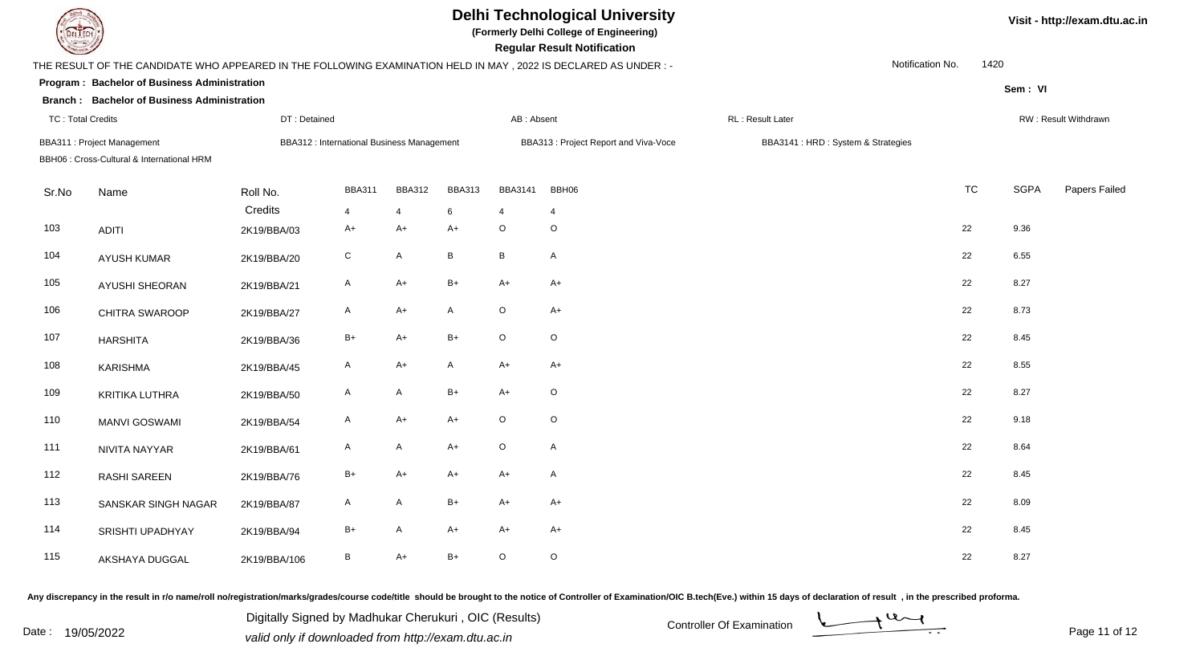

**(Formerly Delhi College of Engineering)**

 **Regular Result Notification**

| $\sim$                   |                                                                                                                  |                     |                                                  |                    |                    |                     | nogaiai nosait notinoation           |                  |                                     |           |             |                      |
|--------------------------|------------------------------------------------------------------------------------------------------------------|---------------------|--------------------------------------------------|--------------------|--------------------|---------------------|--------------------------------------|------------------|-------------------------------------|-----------|-------------|----------------------|
|                          | THE RESULT OF THE CANDIDATE WHO APPEARED IN THE FOLLOWING EXAMINATION HELD IN MAY , 2022 IS DECLARED AS UNDER :- |                     |                                                  |                    |                    |                     |                                      |                  | Notification No.                    | 1420      |             |                      |
|                          | Program: Bachelor of Business Administration                                                                     |                     |                                                  |                    |                    |                     |                                      |                  |                                     |           | Sem: VI     |                      |
|                          | <b>Branch: Bachelor of Business Administration</b>                                                               |                     |                                                  |                    |                    |                     |                                      |                  |                                     |           |             |                      |
| <b>TC: Total Credits</b> |                                                                                                                  | DT: Detained        |                                                  |                    |                    | AB: Absent          |                                      | RL: Result Later |                                     |           |             | RW: Result Withdrawn |
|                          | BBA311 : Project Management<br>BBH06 : Cross-Cultural & International HRM                                        |                     | <b>BBA312: International Business Management</b> |                    |                    |                     | BBA313: Project Report and Viva-Voce |                  | BBA3141 : HRD : System & Strategies |           |             |                      |
| Sr.No                    | Name                                                                                                             | Roll No.<br>Credits | <b>BBA311</b><br>4                               | <b>BBA312</b><br>4 | <b>BBA313</b><br>6 | <b>BBA3141</b><br>4 | BBH06<br>4                           |                  |                                     | <b>TC</b> | <b>SGPA</b> | Papers Failed        |
| 103                      | <b>ADITI</b>                                                                                                     | 2K19/BBA/03         | A+                                               | A+                 | $A+$               | $\circ$             | $\circ$                              |                  |                                     | 22        | 9.36        |                      |
| 104                      | <b>AYUSH KUMAR</b>                                                                                               | 2K19/BBA/20         | ${\bf C}$                                        | A                  | $\, {\bf B}$       | B                   | $\mathsf{A}$                         |                  |                                     | 22        | 6.55        |                      |
| 105                      | AYUSHI SHEORAN                                                                                                   | 2K19/BBA/21         | $\mathsf{A}$                                     | $A+$               | $B+$               | $A+$                | $A+$                                 |                  |                                     | 22        | 8.27        |                      |
| 106                      | CHITRA SWAROOP                                                                                                   | 2K19/BBA/27         | A                                                | A+                 | $\mathsf{A}$       | $\circ$             | $A+$                                 |                  |                                     | 22        | 8.73        |                      |
| 107                      | <b>HARSHITA</b>                                                                                                  | 2K19/BBA/36         | $B+$                                             | $A+$               | $B+$               | $\circ$             | $\circ$                              |                  |                                     | 22        | 8.45        |                      |
| 108                      | <b>KARISHMA</b>                                                                                                  | 2K19/BBA/45         | $\mathsf{A}$                                     | $A+$               | $\mathsf{A}$       | $A+$                | $A+$                                 |                  |                                     | 22        | 8.55        |                      |
| 109                      | KRITIKA LUTHRA                                                                                                   | 2K19/BBA/50         | $\mathsf{A}$                                     | A                  | $B+$               | $A+$                | $\circ$                              |                  |                                     | 22        | 8.27        |                      |
| 110                      | <b>MANVI GOSWAMI</b>                                                                                             | 2K19/BBA/54         | $\mathsf{A}$                                     | $A+$               | $A+$               | $\circ$             | $\circ$                              |                  |                                     | 22        | 9.18        |                      |
| 111                      | NIVITA NAYYAR                                                                                                    | 2K19/BBA/61         | $\mathsf{A}$                                     | A                  | $A+$               | $\circ$             | A                                    |                  |                                     | 22        | 8.64        |                      |
| 112                      | <b>RASHI SAREEN</b>                                                                                              | 2K19/BBA/76         | $B+$                                             | $A+$               | $A+$               | $A+$                | $\mathsf{A}$                         |                  |                                     | 22        | 8.45        |                      |
| 113                      | SANSKAR SINGH NAGAR                                                                                              | 2K19/BBA/87         | $\mathsf{A}$                                     | A                  | $B+$               | $A+$                | $A+$                                 |                  |                                     | 22        | 8.09        |                      |
| 114                      | SRISHTI UPADHYAY                                                                                                 | 2K19/BBA/94         | $B+$                                             | A                  | $A+$               | $A+$                | $A+$                                 |                  |                                     | 22        | 8.45        |                      |
| 115                      | AKSHAYA DUGGAL                                                                                                   | 2K19/BBA/106        | В                                                | $A+$               | $B+$               | $\circ$             | $\mathsf O$                          |                  |                                     | 22        | 8.27        |                      |

Any discrepancy in the result in r/o name/roll no/registration/marks/grades/course code/title should be brought to the notice of Controller of Examination/OIC B.tech(Eve.) within 15 days of declaration of result, in the pr